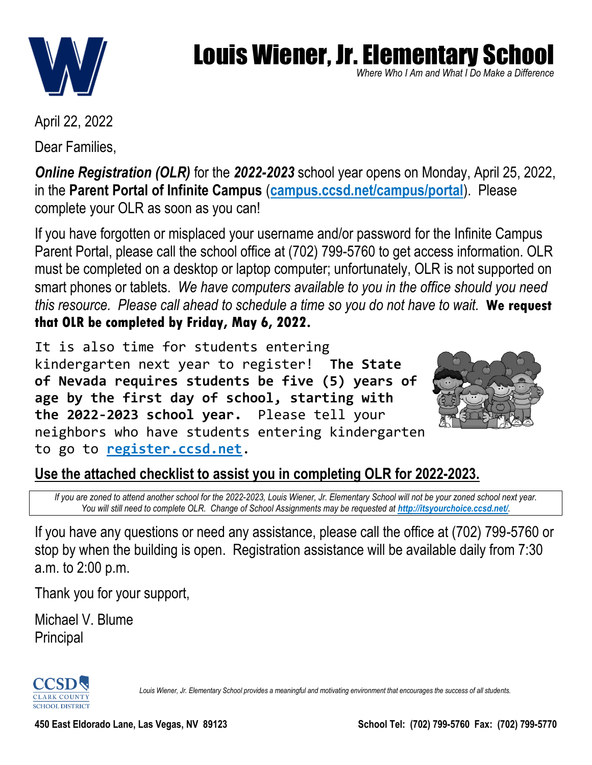

*Where Who I Am and What I Do Make a Difference* Make a Dillerence<br>.

April 22, 2022

Dear Families,

*Online Registration (OLR)* for the *2022-2023* school year opens on Monday, April 25, 2022, in the **Parent Portal of Infinite Campus** (**campus.ccsd.net/campus/portal**). Please complete your OLR as soon as you can!

If you have forgotten or misplaced your username and/or password for the Infinite Campus Parent Portal, please call the school office at (702) 799-5760 to get access information. OLR must be completed on a desktop or laptop computer; unfortunately, OLR is not supported on smart phones or tablets. *We have computers available to you in the office should you need this resource. Please call ahead to schedule a time so you do not have to wait.* **We request that OLR be completed by Friday, May 6, 2022.**

It is also time for students entering kindergarten next year to register! **The State of Nevada requires students be five (5) years of age by the first day of school, starting with the 2022-2023 school year.** Please tell your neighbors who have students entering kindergarten to go to **register.ccsd.net**.



### **Use the attached checklist to assist you in completing OLR for 2022-2023.**

*If you are zoned to attend another school for the 2022-2023, Louis Wiener, Jr. Elementary School will not be your zoned school next year.* You will still need to complete OLR. Change of School Assignments may be requested at **http://itsyourchoice.ccsd.net/**.

If you have any questions or need any assistance, please call the office at (702) 799-5760 or stop by when the building is open. Registration assistance will be available daily from 7:30 a.m. to 2:00 p.m.

Thank you for your support,

Michael V. Blume Principal

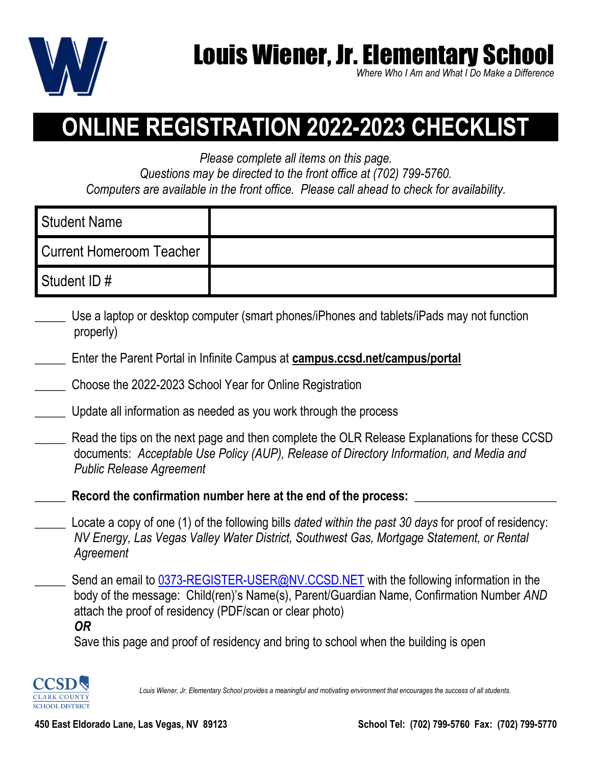

Where Who I Am and What I Do Make a Difference<br>

## **ONLINE REGISTRATION 2022-2023 CHECKLIST**

*Please complete all items on this page.*

*Questions may be directed to the front office at (702) 799-5760. Computers are available in the front office. Please call ahead to check for availability.*

| Student Name                    |  |
|---------------------------------|--|
| <b>Current Homeroom Teacher</b> |  |
| Student ID#                     |  |

- \_\_\_\_\_ Use a laptop or desktop computer (smart phones/iPhones and tablets/iPads may not function properly)
- \_\_\_\_\_ Enter the Parent Portal in Infinite Campus at **campus.ccsd.net/campus/portal**
- \_\_\_\_\_ Choose the 2022-2023 School Year for Online Registration
- Update all information as needed as you work through the process
- Read the tips on the next page and then complete the OLR Release Explanations for these CCSD documents: *Acceptable Use Policy (AUP), Release of Directory Information, and Media and Public Release Agreement*
- Record the confirmation number here at the end of the process:
- \_\_\_\_\_ Locate a copy of one (1) of the following bills *dated within the past 30 days* for proof of residency: *NV Energy, Las Vegas Valley Water District, Southwest Gas, Mortgage Statement, or Rental Agreement*
- Send an email to [0373-REGISTER-USER@NV.CCSD.NET](mailto:0373-REGISTER-USER@NV.CCSD.NET) with the following information in the body of the message: Child(ren)'s Name(s), Parent/Guardian Name, Confirmation Number *AND* attach the proof of residency (PDF/scan or clear photo) *OR*

Save this page and proof of residency and bring to school when the building is open

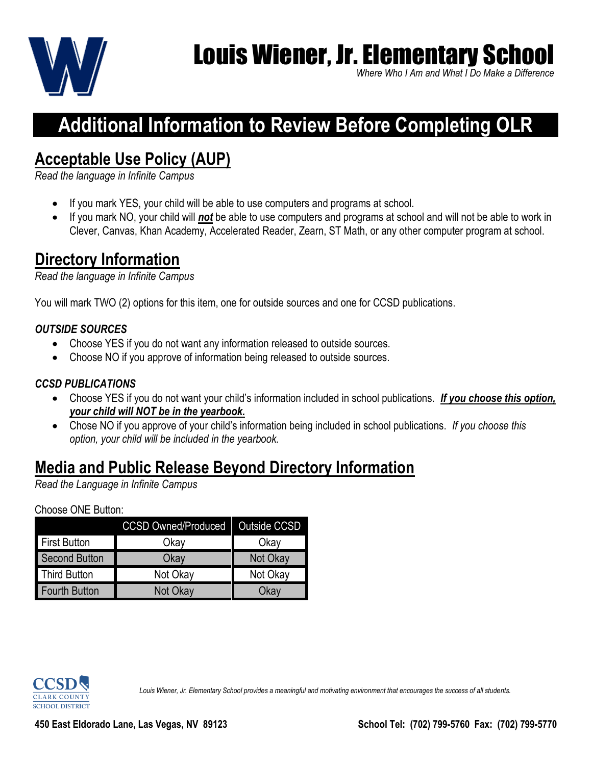

Where Who I Am and What I Do Make a Difference<br>

### **Additional Information to Review Before Completing OLR**

### **Acceptable Use Policy (AUP)**

*Read the language in Infinite Campus*

- If you mark YES, your child will be able to use computers and programs at school.
- If you mark NO, your child will *not* be able to use computers and programs at school and will not be able to work in Clever, Canvas, Khan Academy, Accelerated Reader, Zearn, ST Math, or any other computer program at school.

### **Directory Information**

*Read the language in Infinite Campus*

You will mark TWO (2) options for this item, one for outside sources and one for CCSD publications.

### *OUTSIDE SOURCES*

- Choose YES if you do not want any information released to outside sources.
- Choose NO if you approve of information being released to outside sources.

### *CCSD PUBLICATIONS*

- Choose YES if you do not want your child's information included in school publications. *If you choose this option, your child will NOT be in the yearbook.*
- Chose NO if you approve of your child's information being included in school publications. *If you choose this option, your child will be included in the yearbook.*

### **Media and Public Release Beyond Directory Information**

*Read the Language in Infinite Campus*

### Choose ONE Button:

|                      | CCSD Owned/Produced  Outside CCSD |          |
|----------------------|-----------------------------------|----------|
| <b>First Button</b>  | Okav                              | Okav     |
| Second Button        | Okay                              | Not Okay |
| Third Button         | Not Okay                          | Not Okay |
| <b>Fourth Button</b> | Not Okay                          | วkaง     |

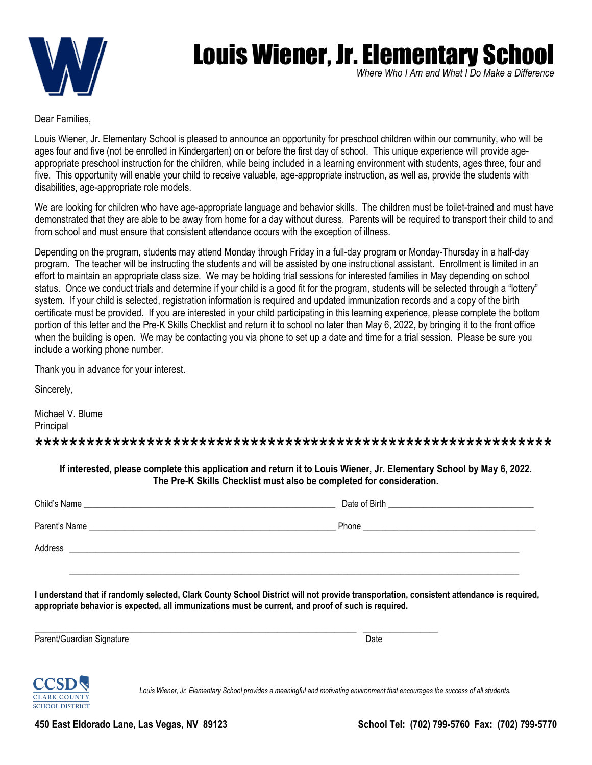

Where Who I Am and What I Do Make a Difference<br>

Dear Families,

Louis Wiener, Jr. Elementary School is pleased to announce an opportunity for preschool children within our community, who will be ages four and five (not be enrolled in Kindergarten) on or before the first day of school. This unique experience will provide ageappropriate preschool instruction for the children, while being included in a learning environment with students, ages three, four and five. This opportunity will enable your child to receive valuable, age-appropriate instruction, as well as, provide the students with disabilities, age-appropriate role models.

We are looking for children who have age-appropriate language and behavior skills. The children must be toilet-trained and must have demonstrated that they are able to be away from home for a day without duress. Parents will be required to transport their child to and from school and must ensure that consistent attendance occurs with the exception of illness.

Depending on the program, students may attend Monday through Friday in a full-day program or Monday-Thursday in a half-day program. The teacher will be instructing the students and will be assisted by one instructional assistant. Enrollment is limited in an effort to maintain an appropriate class size. We may be holding trial sessions for interested families in May depending on school status. Once we conduct trials and determine if your child is a good fit for the program, students will be selected through a "lottery" system. If your child is selected, registration information is required and updated immunization records and a copy of the birth certificate must be provided. If you are interested in your child participating in this learning experience, please complete the bottom portion of this letter and the Pre-K Skills Checklist and return it to school no later than May 6, 2022, by bringing it to the front office when the building is open. We may be contacting you via phone to set up a date and time for a trial session. Please be sure you include a working phone number.

Thank you in advance for your interest.

Sincerely,

Michael V. Blume Principal \*\*\*\*\*\*\*\*\*\*\*\*\*\*\*\*\*\*\*\*\*\*\*\*\*\*\*\*\*\*\*\*\*\*\*\*\*\*\*\*\*\*\*\*\*\*\*\*\*\*\*\*\*\*\*\*\*\*\*\*

**If interested, please complete this application and return it to Louis Wiener, Jr. Elementary School by May 6, 2022. The Pre-K Skills Checklist must also be completed for consideration.**

| I understand that if randomly selected, Clark County School District will not provide transportation, consistent attendance is required,<br>appropriate behavior is expected, all immunizations must be current, and proof of such is required. |      |
|-------------------------------------------------------------------------------------------------------------------------------------------------------------------------------------------------------------------------------------------------|------|
| Parent/Guardian Signature                                                                                                                                                                                                                       | Date |